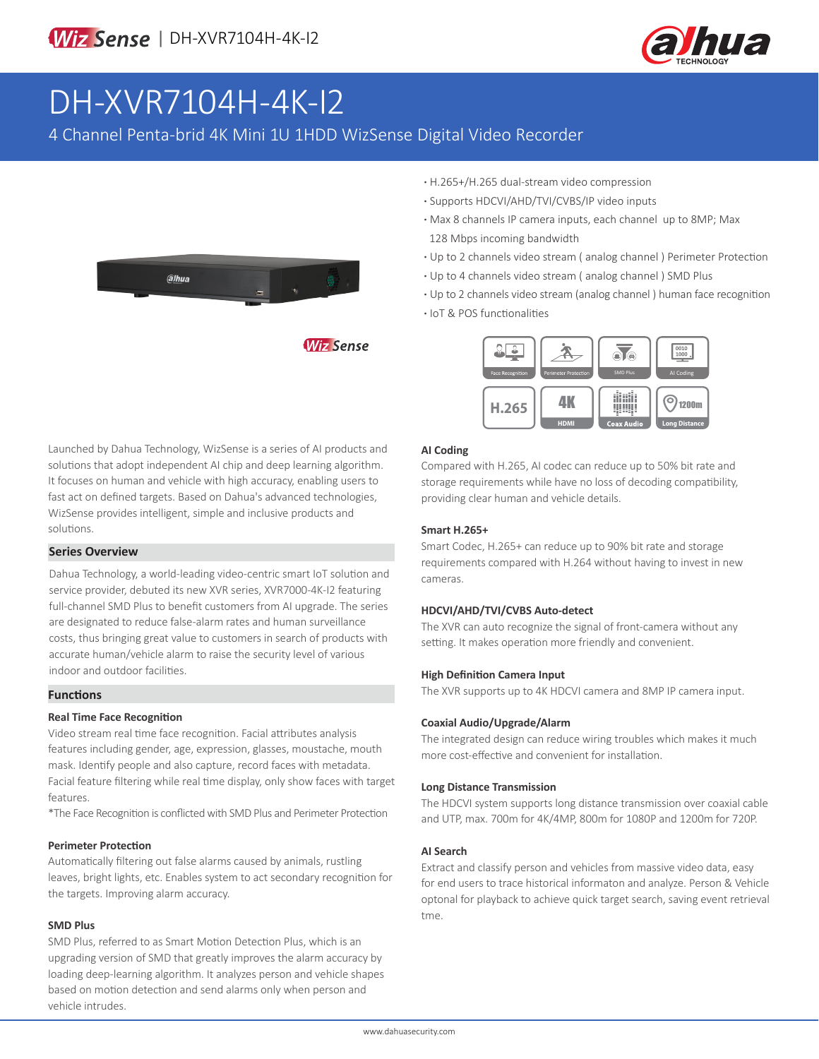

# DH-XVR7104H-4K-I2

4 Channel Penta-brid 4K Mini 1U 1HDD WizSense Digital Video Recorder



- **·** H.265+/H.265 dual-stream video compression
- **·** Supports HDCVI/AHD/TVI/CVBS/IP video inputs
- **·** Max 8 channels IP camera inputs, each channel up to 8MP; Max 128 Mbps incoming bandwidth
- **·** Up to 2 channels video stream ( analog channel ) Perimeter Protection
- **·** Up to 4 channels video stream ( analog channel ) SMD Plus
- **·** Up to 2 channels video stream (analog channel ) human face recognition
- **·** IoT & POS functionalities



Launched by Dahua Technology, WizSense is a series of AI products and solutions that adopt independent AI chip and deep learning algorithm. It focuses on human and vehicle with high accuracy, enabling users to fast act on defined targets. Based on Dahua's advanced technologies, WizSense provides intelligent, simple and inclusive products and solutions.

#### **Series Overview**

Dahua Technology, a world-leading video-centric smart IoT solution and service provider, debuted its new XVR series, XVR7000-4K-I2 featuring full-channel SMD Plus to benefit customers from AI upgrade. The series are designated to reduce false-alarm rates and human surveillance costs, thus bringing great value to customers in search of products with accurate human/vehicle alarm to raise the security level of various indoor and outdoor facilities.

#### **Functions**

#### **Real Time Face Recognition**

Video stream real time face recognition. Facial attributes analysis features including gender, age, expression, glasses, moustache, mouth mask. Identify people and also capture, record faces with metadata. Facial feature filtering while real time display, only show faces with target features.

\*The Face Recognition is conflicted with SMD Plus and Perimeter Protection

#### **Perimeter Protection**

Automatically filtering out false alarms caused by animals, rustling leaves, bright lights, etc. Enables system to act secondary recognition for the targets. Improving alarm accuracy.

#### **SMD Plus**

SMD Plus, referred to as Smart Motion Detection Plus, which is an upgrading version of SMD that greatly improves the alarm accuracy by loading deep-learning algorithm. It analyzes person and vehicle shapes based on motion detection and send alarms only when person and vehicle intrudes.

#### **AI Coding**

Compared with H.265, AI codec can reduce up to 50% bit rate and storage requirements while have no loss of decoding compatibility, providing clear human and vehicle details.

#### **Smart H.265+**

Smart Codec, H.265+ can reduce up to 90% bit rate and storage requirements compared with H.264 without having to invest in new cameras.

#### **HDCVI/AHD/TVI/CVBS Auto-detect**

The XVR can auto recognize the signal of front-camera without any setting. It makes operation more friendly and convenient.

#### **High Definition Camera Input**

The XVR supports up to 4K HDCVI camera and 8MP IP camera input.

#### **Coaxial Audio/Upgrade/Alarm**

The integrated design can reduce wiring troubles which makes it much more cost-effective and convenient for installation.

#### **Long Distance Transmission**

The HDCVI system supports long distance transmission over coaxial cable and UTP, max. 700m for 4K/4MP, 800m for 1080P and 1200m for 720P.

#### **AI Search**

Extract and classify person and vehicles from massive video data, easy for end users to trace historical informaton and analyze. Person & Vehicle optonal for playback to achieve quick target search, saving event retrieval tme.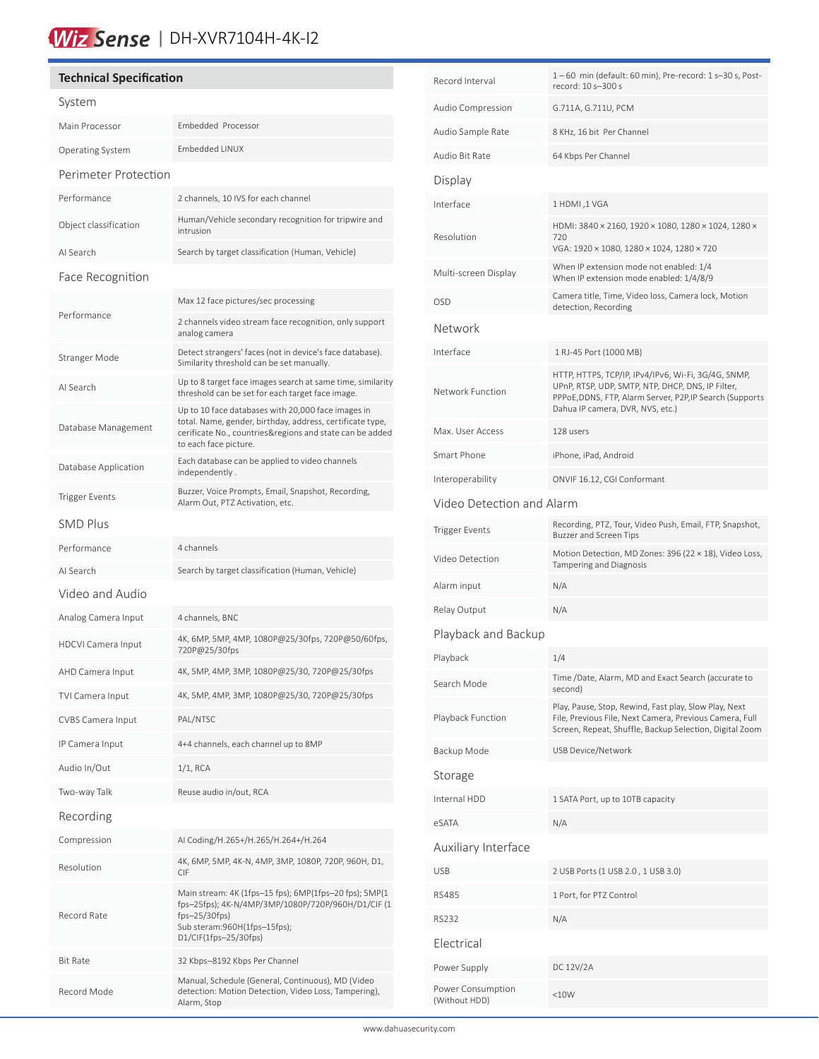## Wiz Sense | DH-XVR7104H-4K-I2

### **Technical Specification** System Main Processor Embedded Processor Operating System Embedded LINUX Perimeter Protection Performance 2 channels, 10 IVS for each channel Object classification Human/Vehicle secondary recognition for tripwire and intrusion AI Search Search by target classification (Human, Vehicle) Face Recognition Performance Max 12 face pictures/sec processing 2 channels video stream face recognition, only support analog camera Stranger Mode Detect strangers' faces (not in device's face database). Similarity threshold can be set manually. AI Search Up to 8 target face images search at same time, similarity threshold can be set for each target face image. Database Management Up to 10 face databases with 20,000 face images in total. Name, gender, birthday, address, certificate type, cerificate No., countries&regions and state can be added to each face picture. Database Application Each database can be applied to video channels independently . Trigger Events<br>Alarm Out, BTZ Astivation ata Alarm Out, PTZ Activation, etc. SMD Plus Performance 4 channels AI Search Search by target classification (Human, Vehicle) Video and Audio Analog Camera Input 4 channels, BNC HDCVI Camera Input 4K, 6MP, 5MP, 4MP, 1080P@25/30fps, 720P@50/60fps, 720P@25/30fps AHD Camera Input 4K, 5MP, 4MP, 3MP, 1080P@25/30, 720P@25/30fps TVI Camera Input 4K, 5MP, 4MP, 3MP, 1080P@25/30, 720P@25/30fps CVBS Camera Input PAL/NTSC IP Camera Input 4+4 channels, each channel up to 8MP Audio In/Out 1/1, RCA Two-way Talk Reuse audio in/out, RCA Recording Compression AI Coding/H.265+/H.265/H.264+/H.264 Resolution 4K, 6MP, 5MP, 4K-N, 4MP, 3MP, 1080P, 720P, 960H, D1, CIF Record Rate Main stream: 4K (1fps–15 fps); 6MP(1fps–20 fps); 5MP(1 fps–25fps); 4K-N/4MP/3MP/1080P/720P/960H/D1/CIF (1 fps–25/30fps) Sub steram:960H(1fps–15fps); D1/CIF(1fps–25/30fps) Bit Rate 32 Kbps–8192 Kbps Per Channel Record Mode Manual, Schedule (General, Continuous), MD (Video detection: Motion Detection, Video Loss, Tampering), Alarm, Stop

֚

| Record Interval                    | 1-60 min (default: 60 min), Pre-record: 1 s-30 s, Post-<br>record: 10 s-300 s                                                                                                                            |  |  |  |
|------------------------------------|----------------------------------------------------------------------------------------------------------------------------------------------------------------------------------------------------------|--|--|--|
| Audio Compression                  | G.711A, G.711U, PCM                                                                                                                                                                                      |  |  |  |
| Audio Sample Rate                  | 8 KHz, 16 bit Per Channel                                                                                                                                                                                |  |  |  |
| Audio Bit Rate                     | 64 Kbps Per Channel                                                                                                                                                                                      |  |  |  |
| Display                            |                                                                                                                                                                                                          |  |  |  |
| Interface                          | 1 HDMI, 1 VGA                                                                                                                                                                                            |  |  |  |
| Resolution                         | HDMI: 3840 × 2160, 1920 × 1080, 1280 × 1024, 1280 ×<br>720<br>VGA: 1920 × 1080, 1280 × 1024, 1280 × 720                                                                                                  |  |  |  |
| Multi-screen Display               | When IP extension mode not enabled: 1/4<br>When IP extension mode enabled: 1/4/8/9                                                                                                                       |  |  |  |
| <b>OSD</b>                         | Camera title, Time, Video loss, Camera lock, Motion<br>detection, Recording                                                                                                                              |  |  |  |
| Network                            |                                                                                                                                                                                                          |  |  |  |
| Interface                          | 1 RJ-45 Port (1000 MB)                                                                                                                                                                                   |  |  |  |
| Network Function                   | HTTP, HTTPS, TCP/IP, IPv4/IPv6, Wi-Fi, 3G/4G, SNMP,<br>UPnP, RTSP, UDP, SMTP, NTP, DHCP, DNS, IP Filter,<br>PPPoE, DDNS, FTP, Alarm Server, P2P, IP Search (Supports<br>Dahua IP camera, DVR, NVS, etc.) |  |  |  |
| Max. User Access                   | 128 users                                                                                                                                                                                                |  |  |  |
| Smart Phone                        | iPhone, iPad, Android                                                                                                                                                                                    |  |  |  |
| Interoperability                   | ONVIF 16.12, CGI Conformant                                                                                                                                                                              |  |  |  |
| Video Detection and Alarm          |                                                                                                                                                                                                          |  |  |  |
| <b>Trigger Events</b>              | Recording, PTZ, Tour, Video Push, Email, FTP, Snapshot,<br>Buzzer and Screen Tips                                                                                                                        |  |  |  |
| Video Detection                    | Motion Detection, MD Zones: 396 (22 × 18), Video Loss,<br>Tampering and Diagnosis                                                                                                                        |  |  |  |
| Alarm input                        | N/A                                                                                                                                                                                                      |  |  |  |
| Relay Output                       | N/A                                                                                                                                                                                                      |  |  |  |
| Playback and Backup                |                                                                                                                                                                                                          |  |  |  |
| Playback                           | 1/4                                                                                                                                                                                                      |  |  |  |
| Search Mode                        | Time /Date, Alarm, MD and Exact Search (accurate to<br>second)                                                                                                                                           |  |  |  |
| Playback Function                  | Play, Pause, Stop, Rewind, Fast play, Slow Play, Next<br>File, Previous File, Next Camera, Previous Camera, Full<br>Screen, Repeat, Shuffle, Backup Selection, Digital Zoom                              |  |  |  |
| Backup Mode                        | USB Device/Network                                                                                                                                                                                       |  |  |  |
| Storage                            |                                                                                                                                                                                                          |  |  |  |
| Internal HDD                       | 1 SATA Port, up to 10TB capacity                                                                                                                                                                         |  |  |  |
| eSATA                              | N/A                                                                                                                                                                                                      |  |  |  |
| Auxiliary Interface                |                                                                                                                                                                                                          |  |  |  |
| <b>USB</b>                         | 2 USB Ports (1 USB 2.0, 1 USB 3.0)                                                                                                                                                                       |  |  |  |
| <b>RS485</b>                       | 1 Port, for PTZ Control                                                                                                                                                                                  |  |  |  |
| <b>RS232</b>                       | N/A                                                                                                                                                                                                      |  |  |  |
| Electrical                         |                                                                                                                                                                                                          |  |  |  |
| Power Supply                       | DC 12V/2A                                                                                                                                                                                                |  |  |  |
| Power Consumption<br>(Without HDD) | <10W                                                                                                                                                                                                     |  |  |  |